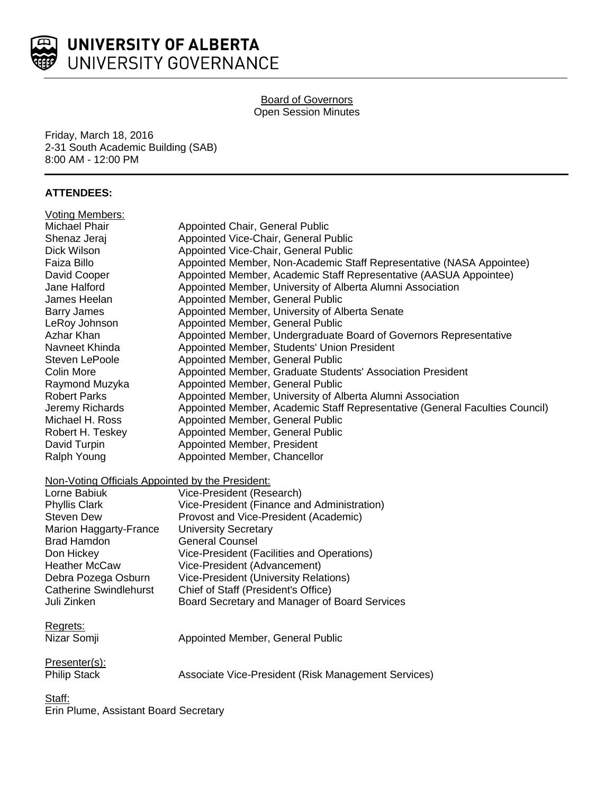

# Board of Governors Open Session Minutes

Friday, March 18, 2016 2-31 South Academic Building (SAB) 8:00 AM - 12:00 PM

# **ATTENDEES:**

| <b>Voting Members:</b>                           |                                                                             |
|--------------------------------------------------|-----------------------------------------------------------------------------|
| Michael Phair                                    | Appointed Chair, General Public                                             |
| Shenaz Jeraj                                     | Appointed Vice-Chair, General Public                                        |
| Dick Wilson                                      | Appointed Vice-Chair, General Public                                        |
| Faiza Billo                                      | Appointed Member, Non-Academic Staff Representative (NASA Appointee)        |
| David Cooper                                     | Appointed Member, Academic Staff Representative (AASUA Appointee)           |
| Jane Halford                                     | Appointed Member, University of Alberta Alumni Association                  |
| James Heelan                                     | Appointed Member, General Public                                            |
| <b>Barry James</b>                               | Appointed Member, University of Alberta Senate                              |
| LeRoy Johnson                                    | Appointed Member, General Public                                            |
| Azhar Khan                                       | Appointed Member, Undergraduate Board of Governors Representative           |
| Navneet Khinda                                   | Appointed Member, Students' Union President                                 |
| Steven LePoole                                   | Appointed Member, General Public                                            |
| <b>Colin More</b>                                | Appointed Member, Graduate Students' Association President                  |
| Raymond Muzyka                                   | Appointed Member, General Public                                            |
| <b>Robert Parks</b>                              | Appointed Member, University of Alberta Alumni Association                  |
| Jeremy Richards                                  | Appointed Member, Academic Staff Representative (General Faculties Council) |
| Michael H. Ross                                  | Appointed Member, General Public                                            |
| Robert H. Teskey                                 | Appointed Member, General Public                                            |
| David Turpin                                     | Appointed Member, President                                                 |
| Ralph Young                                      | Appointed Member, Chancellor                                                |
| Non-Voting Officials Appointed by the President: |                                                                             |
| Lorne Babiuk                                     | Vice-President (Research)                                                   |
| <b>Phyllis Clark</b>                             | Vice-President (Finance and Administration)                                 |
| <b>Steven Dew</b>                                | Provost and Vice-President (Academic)                                       |
| Marion Haggarty-France                           | <b>University Secretary</b>                                                 |
| <b>Brad Hamdon</b>                               | <b>General Counsel</b>                                                      |
| Don Hickey                                       | Vice-President (Facilities and Operations)                                  |
| <b>Heather McCaw</b>                             | Vice-President (Advancement)                                                |
| Debra Pozega Osburn                              | Vice-President (University Relations)                                       |
| <b>Catherine Swindlehurst</b>                    | Chief of Staff (President's Office)                                         |
| Juli Zinken                                      | Board Secretary and Manager of Board Services                               |
| Regrets:                                         |                                                                             |
| Nizar Somji                                      | Appointed Member, General Public                                            |
| Presenter(s):                                    |                                                                             |
| <b>Philip Stack</b>                              | Associate Vice-President (Risk Management Services)                         |
| $\alpha$ .                                       |                                                                             |

Staff: Erin Plume, Assistant Board Secretary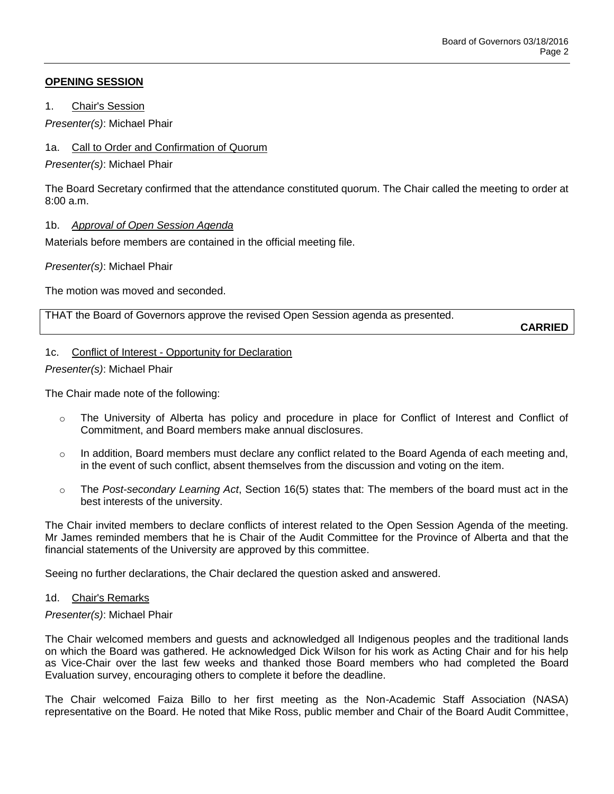## **OPENING SESSION**

1. Chair's Session

*Presenter(s)*: Michael Phair

## 1a. Call to Order and Confirmation of Quorum

*Presenter(s)*: Michael Phair

The Board Secretary confirmed that the attendance constituted quorum. The Chair called the meeting to order at 8:00 a.m.

## 1b. *Approval of Open Session Agenda*

Materials before members are contained in the official meeting file.

*Presenter(s)*: Michael Phair

The motion was moved and seconded.

THAT the Board of Governors approve the revised Open Session agenda as presented.

**CARRIED**

# 1c. Conflict of Interest - Opportunity for Declaration

*Presenter(s)*: Michael Phair

The Chair made note of the following:

- o The University of Alberta has policy and procedure in place for Conflict of Interest and Conflict of Commitment, and Board members make annual disclosures.
- $\circ$  In addition, Board members must declare any conflict related to the Board Agenda of each meeting and, in the event of such conflict, absent themselves from the discussion and voting on the item.
- o The *Post-secondary Learning Act*, Section 16(5) states that: The members of the board must act in the best interests of the university.

The Chair invited members to declare conflicts of interest related to the Open Session Agenda of the meeting. Mr James reminded members that he is Chair of the Audit Committee for the Province of Alberta and that the financial statements of the University are approved by this committee.

Seeing no further declarations, the Chair declared the question asked and answered.

## 1d. Chair's Remarks

## *Presenter(s)*: Michael Phair

The Chair welcomed members and guests and acknowledged all Indigenous peoples and the traditional lands on which the Board was gathered. He acknowledged Dick Wilson for his work as Acting Chair and for his help as Vice-Chair over the last few weeks and thanked those Board members who had completed the Board Evaluation survey, encouraging others to complete it before the deadline.

The Chair welcomed Faiza Billo to her first meeting as the Non-Academic Staff Association (NASA) representative on the Board. He noted that Mike Ross, public member and Chair of the Board Audit Committee,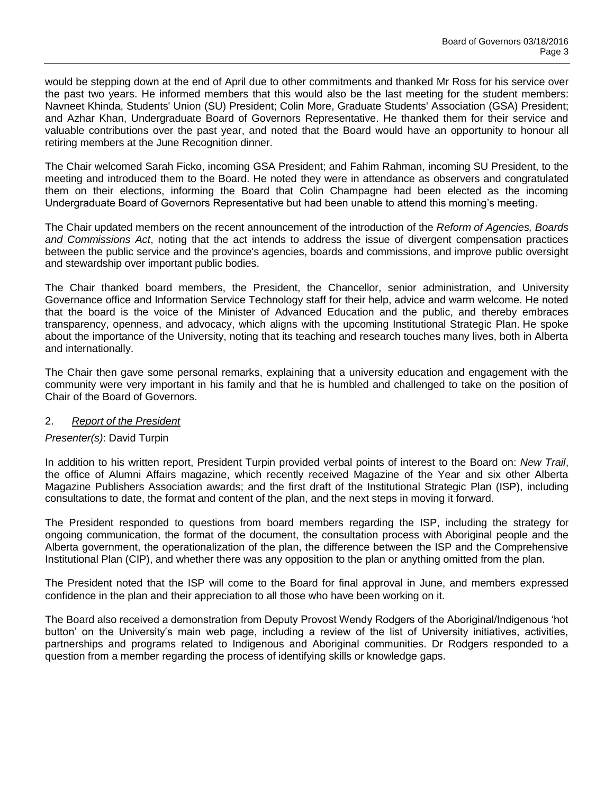would be stepping down at the end of April due to other commitments and thanked Mr Ross for his service over the past two years. He informed members that this would also be the last meeting for the student members: Navneet Khinda, Students' Union (SU) President; Colin More, Graduate Students' Association (GSA) President; and Azhar Khan, Undergraduate Board of Governors Representative. He thanked them for their service and valuable contributions over the past year, and noted that the Board would have an opportunity to honour all retiring members at the June Recognition dinner.

The Chair welcomed Sarah Ficko, incoming GSA President; and Fahim Rahman, incoming SU President, to the meeting and introduced them to the Board. He noted they were in attendance as observers and congratulated them on their elections, informing the Board that Colin Champagne had been elected as the incoming Undergraduate Board of Governors Representative but had been unable to attend this morning's meeting.

The Chair updated members on the recent announcement of the introduction of the *Reform of Agencies, Boards and Commissions Act*, noting that the act intends to address the issue of divergent compensation practices between the public service and the province's agencies, boards and commissions, and improve public oversight and stewardship over important public bodies.

The Chair thanked board members, the President, the Chancellor, senior administration, and University Governance office and Information Service Technology staff for their help, advice and warm welcome. He noted that the board is the voice of the Minister of Advanced Education and the public, and thereby embraces transparency, openness, and advocacy, which aligns with the upcoming Institutional Strategic Plan. He spoke about the importance of the University, noting that its teaching and research touches many lives, both in Alberta and internationally.

The Chair then gave some personal remarks, explaining that a university education and engagement with the community were very important in his family and that he is humbled and challenged to take on the position of Chair of the Board of Governors.

## 2. *Report of the President*

## *Presenter(s)*: David Turpin

In addition to his written report, President Turpin provided verbal points of interest to the Board on: *New Trail*, the office of Alumni Affairs magazine, which recently received Magazine of the Year and six other Alberta Magazine Publishers Association awards; and the first draft of the Institutional Strategic Plan (ISP), including consultations to date, the format and content of the plan, and the next steps in moving it forward.

The President responded to questions from board members regarding the ISP, including the strategy for ongoing communication, the format of the document, the consultation process with Aboriginal people and the Alberta government, the operationalization of the plan, the difference between the ISP and the Comprehensive Institutional Plan (CIP), and whether there was any opposition to the plan or anything omitted from the plan.

The President noted that the ISP will come to the Board for final approval in June, and members expressed confidence in the plan and their appreciation to all those who have been working on it.

The Board also received a demonstration from Deputy Provost Wendy Rodgers of the Aboriginal/Indigenous 'hot button' on the University's main web page, including a review of the list of University initiatives, activities, partnerships and programs related to Indigenous and Aboriginal communities. Dr Rodgers responded to a question from a member regarding the process of identifying skills or knowledge gaps.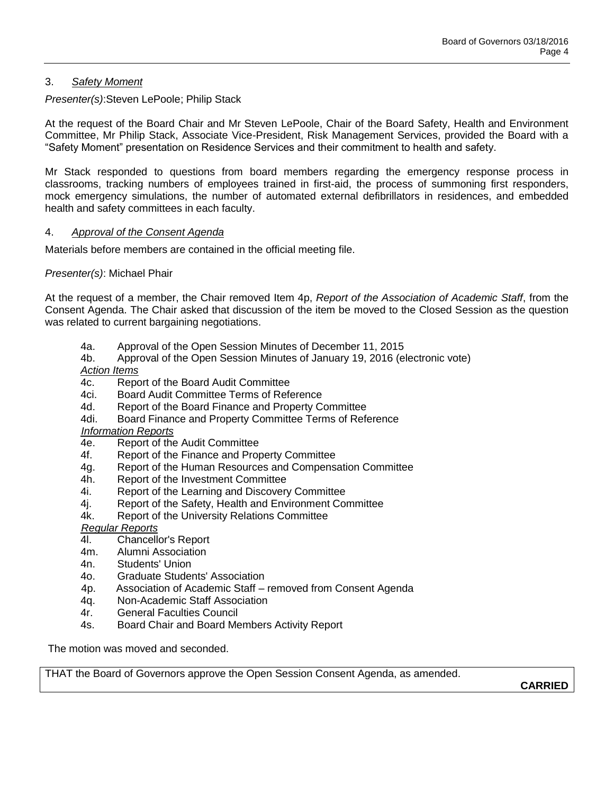# 3. *Safety Moment*

*Presenter(s)*:Steven LePoole; Philip Stack

At the request of the Board Chair and Mr Steven LePoole, Chair of the Board Safety, Health and Environment Committee, Mr Philip Stack, Associate Vice-President, Risk Management Services, provided the Board with a "Safety Moment" presentation on Residence Services and their commitment to health and safety.

Mr Stack responded to questions from board members regarding the emergency response process in classrooms, tracking numbers of employees trained in first-aid, the process of summoning first responders, mock emergency simulations, the number of automated external defibrillators in residences, and embedded health and safety committees in each faculty.

## 4. *Approval of the Consent Agenda*

Materials before members are contained in the official meeting file.

### *Presenter(s)*: Michael Phair

At the request of a member, the Chair removed Item 4p, *Report of the Association of Academic Staff*, from the Consent Agenda. The Chair asked that discussion of the item be moved to the Closed Session as the question was related to current bargaining negotiations.

- 4a. Approval of the Open Session Minutes of December 11, 2015
- 4b. Approval of the Open Session Minutes of January 19, 2016 (electronic vote) *Action Items*
- 
- 4c. Report of the Board Audit Committee
- 4ci. Board Audit Committee Terms of Reference
- 4d. Report of the Board Finance and Property Committee
- 4di. Board Finance and Property Committee Terms of Reference

#### *Information Reports*

- 4e. Report of the Audit Committee
- 4f. Report of the Finance and Property Committee
- 4g. Report of the Human Resources and Compensation Committee
- 4h. Report of the Investment Committee
- 4i. Report of the Learning and Discovery Committee
- 4j. Report of the Safety, Health and Environment Committee
- 4k. Report of the University Relations Committee

*Regular Reports* 

- 4l. Chancellor's Report
- 4m. Alumni Association
- 4n. Students' Union
- 4o. Graduate Students' Association
- 4p. Association of Academic Staff removed from Consent Agenda
- 4q. Non-Academic Staff Association
- 4r. General Faculties Council
- 4s. Board Chair and Board Members Activity Report

The motion was moved and seconded.

THAT the Board of Governors approve the Open Session Consent Agenda, as amended.

**CARRIED**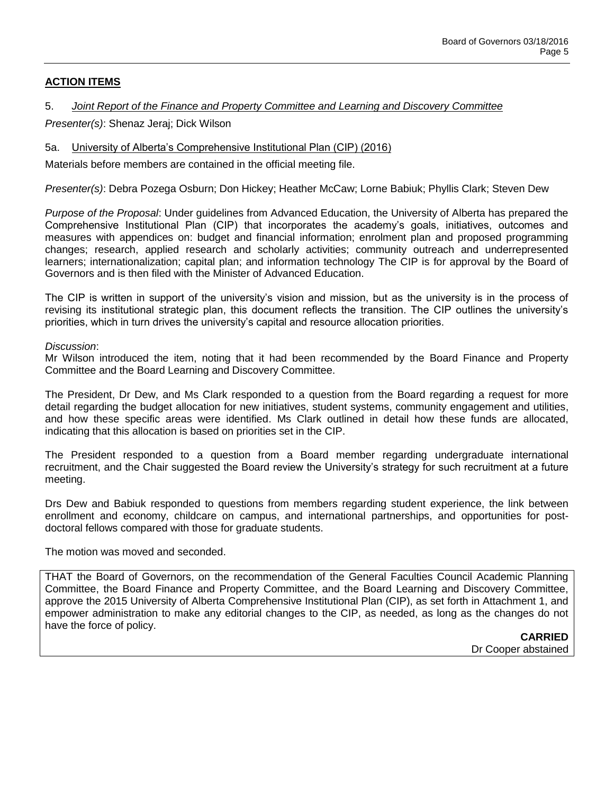# **ACTION ITEMS**

### 5. *Joint Report of the Finance and Property Committee and Learning and Discovery Committee*

*Presenter(s)*: Shenaz Jeraj; Dick Wilson

### 5a. University of Alberta's Comprehensive Institutional Plan (CIP) (2016)

Materials before members are contained in the official meeting file.

*Presenter(s)*: Debra Pozega Osburn; Don Hickey; Heather McCaw; Lorne Babiuk; Phyllis Clark; Steven Dew

*Purpose of the Proposal*: Under guidelines from Advanced Education, the University of Alberta has prepared the Comprehensive Institutional Plan (CIP) that incorporates the academy's goals, initiatives, outcomes and measures with appendices on: budget and financial information; enrolment plan and proposed programming changes; research, applied research and scholarly activities; community outreach and underrepresented learners; internationalization; capital plan; and information technology The CIP is for approval by the Board of Governors and is then filed with the Minister of Advanced Education.

The CIP is written in support of the university's vision and mission, but as the university is in the process of revising its institutional strategic plan, this document reflects the transition. The CIP outlines the university's priorities, which in turn drives the university's capital and resource allocation priorities.

*Discussion*:

Mr Wilson introduced the item, noting that it had been recommended by the Board Finance and Property Committee and the Board Learning and Discovery Committee.

The President, Dr Dew, and Ms Clark responded to a question from the Board regarding a request for more detail regarding the budget allocation for new initiatives, student systems, community engagement and utilities, and how these specific areas were identified. Ms Clark outlined in detail how these funds are allocated, indicating that this allocation is based on priorities set in the CIP.

The President responded to a question from a Board member regarding undergraduate international recruitment, and the Chair suggested the Board review the University's strategy for such recruitment at a future meeting.

Drs Dew and Babiuk responded to questions from members regarding student experience, the link between enrollment and economy, childcare on campus, and international partnerships, and opportunities for postdoctoral fellows compared with those for graduate students.

The motion was moved and seconded.

THAT the Board of Governors, on the recommendation of the General Faculties Council Academic Planning Committee, the Board Finance and Property Committee, and the Board Learning and Discovery Committee, approve the 2015 University of Alberta Comprehensive Institutional Plan (CIP), as set forth in Attachment 1, and empower administration to make any editorial changes to the CIP, as needed, as long as the changes do not have the force of policy.

**CARRIED** Dr Cooper abstained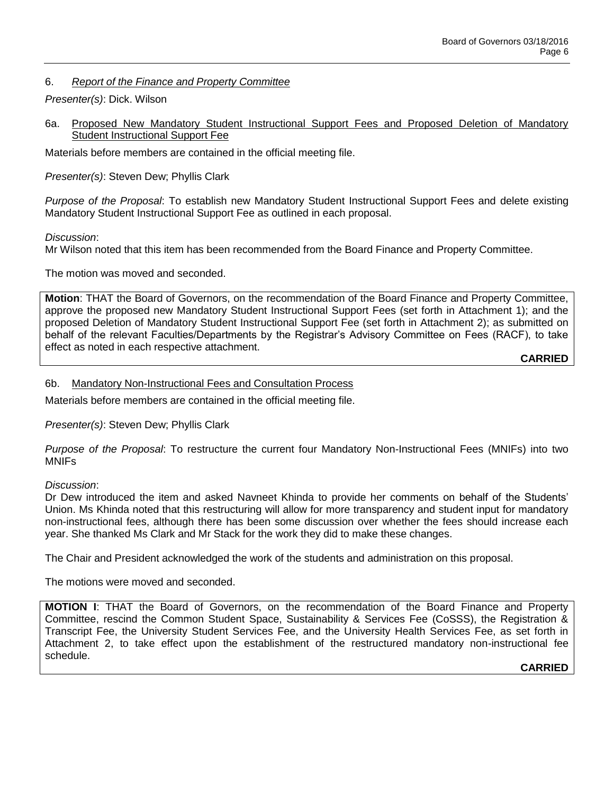## 6. *Report of the Finance and Property Committee*

## *Presenter(s)*: Dick. Wilson

6a. Proposed New Mandatory Student Instructional Support Fees and Proposed Deletion of Mandatory Student Instructional Support Fee

Materials before members are contained in the official meeting file.

*Presenter(s)*: Steven Dew; Phyllis Clark

*Purpose of the Proposal*: To establish new Mandatory Student Instructional Support Fees and delete existing Mandatory Student Instructional Support Fee as outlined in each proposal.

*Discussion*:

Mr Wilson noted that this item has been recommended from the Board Finance and Property Committee.

The motion was moved and seconded.

**Motion**: THAT the Board of Governors, on the recommendation of the Board Finance and Property Committee, approve the proposed new Mandatory Student Instructional Support Fees (set forth in Attachment 1); and the proposed Deletion of Mandatory Student Instructional Support Fee (set forth in Attachment 2); as submitted on behalf of the relevant Faculties/Departments by the Registrar's Advisory Committee on Fees (RACF), to take effect as noted in each respective attachment.

**CARRIED**

## 6b. Mandatory Non-Instructional Fees and Consultation Process

Materials before members are contained in the official meeting file.

*Presenter(s)*: Steven Dew; Phyllis Clark

*Purpose of the Proposal*: To restructure the current four Mandatory Non-Instructional Fees (MNIFs) into two MNIFs

## *Discussion*:

Dr Dew introduced the item and asked Navneet Khinda to provide her comments on behalf of the Students' Union. Ms Khinda noted that this restructuring will allow for more transparency and student input for mandatory non-instructional fees, although there has been some discussion over whether the fees should increase each year. She thanked Ms Clark and Mr Stack for the work they did to make these changes.

The Chair and President acknowledged the work of the students and administration on this proposal.

The motions were moved and seconded.

**MOTION I**: THAT the Board of Governors, on the recommendation of the Board Finance and Property Committee, rescind the Common Student Space, Sustainability & Services Fee (CoSSS), the Registration & Transcript Fee, the University Student Services Fee, and the University Health Services Fee, as set forth in Attachment 2, to take effect upon the establishment of the restructured mandatory non-instructional fee schedule.

## **CARRIED**